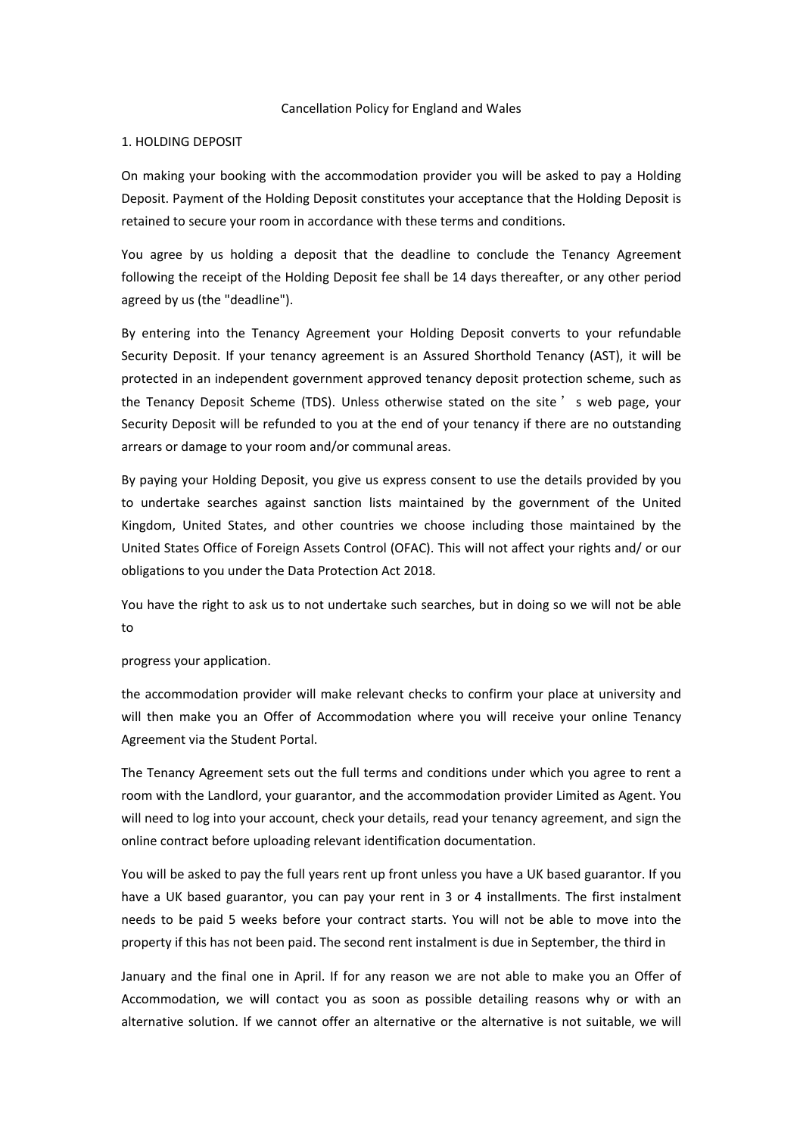#### Cancellation Policy for England and Wales

### 1. HOLDING DEPOSIT

On making your booking with the accommodation provider you will be asked to pay a Holding Deposit. Payment of the Holding Deposit constitutes your acceptance that the Holding Deposit is retained to secure your room in accordance with these terms and conditions.

You agree by us holding a deposit that the deadline to conclude the Tenancy Agreement following the receipt of the Holding Deposit fee shall be 14 days thereafter, or any other period agreed by us (the "deadline").

By entering into the Tenancy Agreement your Holding Deposit converts to your refundable Security Deposit. If your tenancy agreement is an Assured Shorthold Tenancy (AST), it will be protected in an independent government approved tenancy deposit protection scheme, such as the Tenancy Deposit Scheme (TDS). Unless otherwise stated on the site ' s web page, your Security Deposit will be refunded to you at the end of your tenancy if there are no outstanding arrears or damage to your room and/or communal areas.

By paying your Holding Deposit, you give us express consent to use the details provided by you to undertake searches against sanction lists maintained by the government of the United Kingdom, United States, and other countries we choose including those maintained by the United States Office of Foreign Assets Control (OFAC). This will not affect your rights and/ or our obligations to you under the Data Protection Act 2018.

You have the right to ask us to not undertake such searches, but in doing so we will not be able to

#### progress your application.

the accommodation provider will make relevant checks to confirm your place at university and will then make you an Offer of Accommodation where you will receive your online Tenancy Agreement via the Student Portal.

The Tenancy Agreement sets out the full terms and conditions under which you agree to rent a room with the Landlord, your guarantor, and the accommodation provider Limited as Agent. You will need to log into your account, check your details, read your tenancy agreement, and sign the online contract before uploading relevant identification documentation.

You will be asked to pay the full years rent up front unless you have a UK based guarantor. If you have a UK based guarantor, you can pay your rent in 3 or 4 installments. The first instalment needs to be paid 5 weeks before your contract starts. You will not be able to move into the property if this has not been paid. The second rent instalment is due in September, the third in

January and the final one in April. If for any reason we are not able to make you an Offer of Accommodation, we will contact you as soon as possible detailing reasons why or with an alternative solution. If we cannot offer an alternative or the alternative is not suitable, we will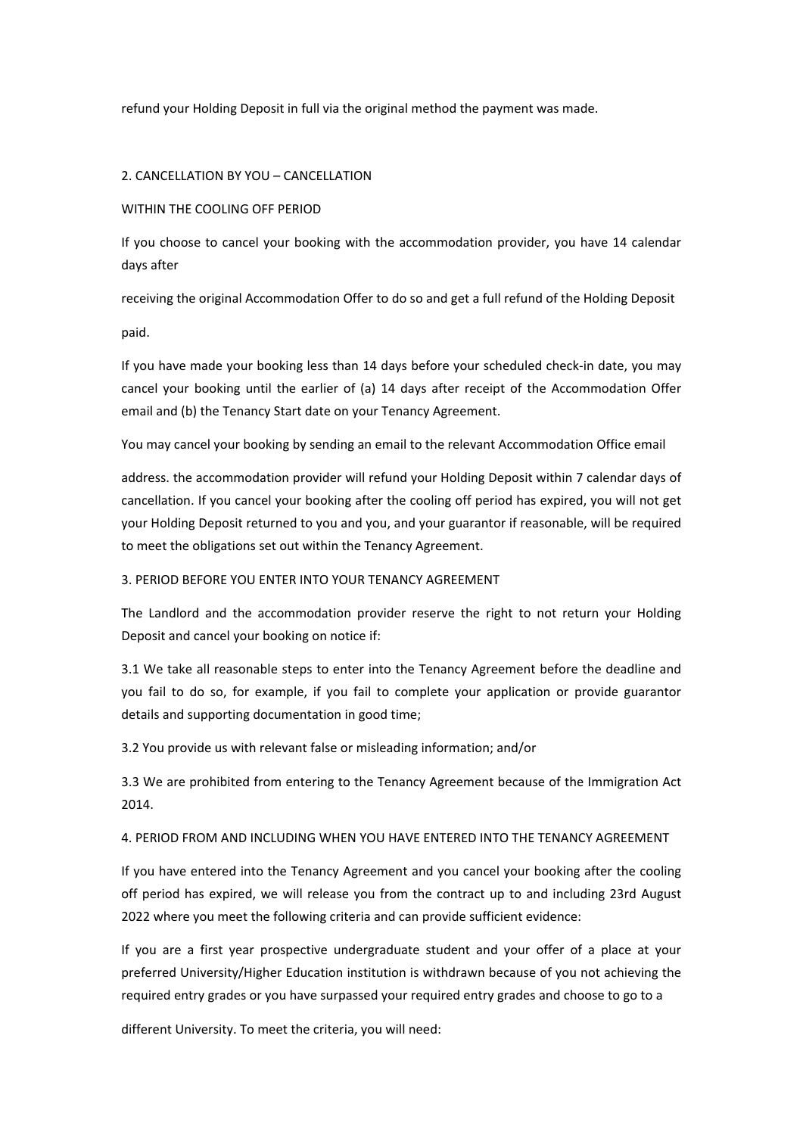refund your Holding Deposit in full via the original method the payment was made.

## 2. CANCELLATION BY YOU – CANCELLATION

## WITHIN THE COOLING OFF PERIOD

If you choose to cancel your booking with the accommodation provider, you have 14 calendar days after

receiving the original Accommodation Offer to do so and get a full refund of the Holding Deposit

paid.

If you have made your booking less than 14 days before your scheduled check-in date, you may cancel your booking until the earlier of (a) 14 days after receipt of the Accommodation Offer email and (b) the Tenancy Start date on your Tenancy Agreement.

You may cancel your booking by sending an email to the relevant Accommodation Office email

address. the accommodation provider will refund your Holding Deposit within 7 calendar days of cancellation. If you cancel your booking after the cooling off period has expired, you will not get your Holding Deposit returned to you and you, and your guarantor if reasonable, will be required to meet the obligations set out within the Tenancy Agreement.

### 3. PERIOD BEFORE YOU ENTER INTO YOUR TENANCY AGREEMENT

The Landlord and the accommodation provider reserve the right to not return your Holding Deposit and cancel your booking on notice if:

3.1 We take all reasonable steps to enter into the Tenancy Agreement before the deadline and you fail to do so, for example, if you fail to complete your application or provide guarantor details and supporting documentation in good time;

3.2 You provide us with relevant false or misleading information; and/or

3.3 We are prohibited from entering to the Tenancy Agreement because of the Immigration Act 2014.

# 4. PERIOD FROM AND INCLUDING WHEN YOU HAVE ENTERED INTO THE TENANCY AGREEMENT

If you have entered into the Tenancy Agreement and you cancel your booking after the cooling off period has expired, we will release you from the contract up to and including 23rd August 2022 where you meet the following criteria and can provide sufficient evidence:

If you are a first year prospective undergraduate student and your offer of a place at your preferred University/Higher Education institution is withdrawn because of you not achieving the required entry grades or you have surpassed your required entry grades and choose to go to a

different University. To meet the criteria, you will need: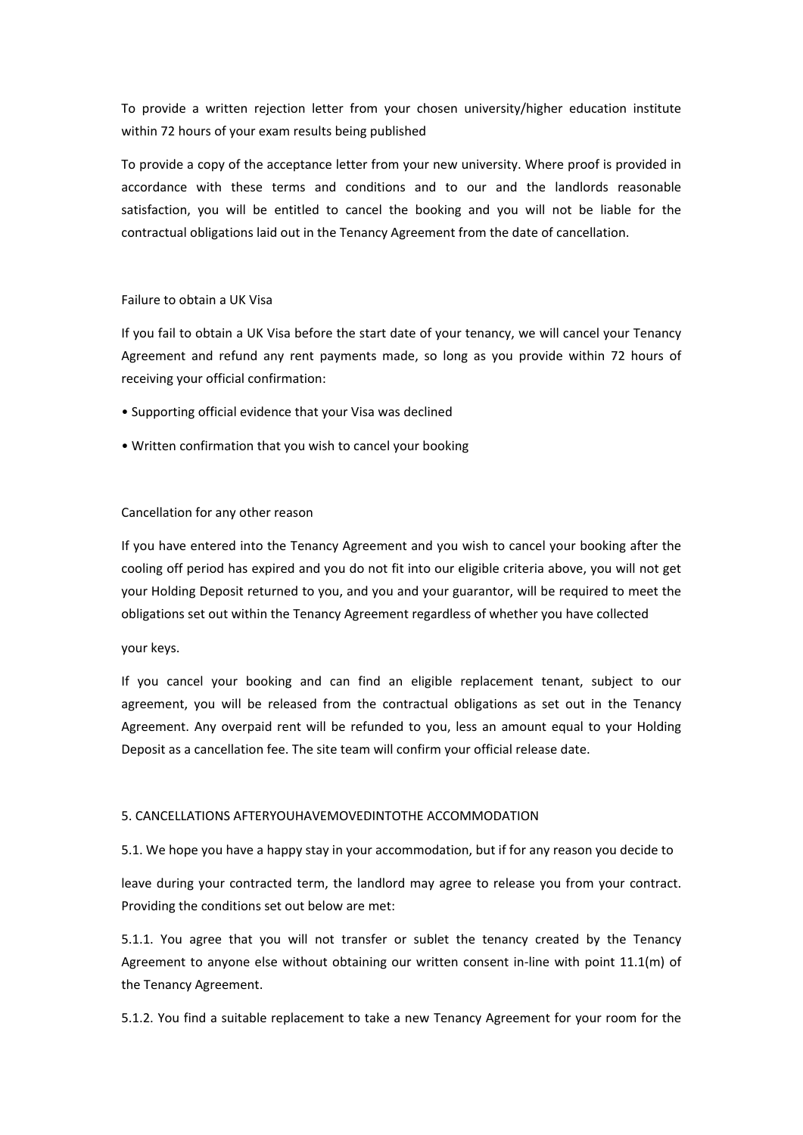To provide a written rejection letter from your chosen university/higher education institute within 72 hours of your exam results being published

To provide a copy of the acceptance letter from your new university. Where proof is provided in accordance with these terms and conditions and to our and the landlords reasonable satisfaction, you will be entitled to cancel the booking and you will not be liable for the contractual obligations laid out in the Tenancy Agreement from the date of cancellation.

## Failure to obtain a UK Visa

If you fail to obtain a UK Visa before the start date of your tenancy, we will cancel your Tenancy Agreement and refund any rent payments made, so long as you provide within 72 hours of receiving your official confirmation:

- Supporting official evidence that your Visa was declined
- Written confirmation that you wish to cancel your booking

## Cancellation for any other reason

If you have entered into the Tenancy Agreement and you wish to cancel your booking after the cooling off period has expired and you do not fit into our eligible criteria above, you will not get your Holding Deposit returned to you, and you and your guarantor, will be required to meet the obligations set out within the Tenancy Agreement regardless of whether you have collected

your keys.

If you cancel your booking and can find an eligible replacement tenant, subject to our agreement, you will be released from the contractual obligations as set out in the Tenancy Agreement. Any overpaid rent will be refunded to you, less an amount equal to your Holding Deposit as a cancellation fee. The site team will confirm your official release date.

### 5. CANCELLATIONS AFTERYOUHAVEMOVEDINTOTHE ACCOMMODATION

5.1. We hope you have a happy stay in your accommodation, but if for any reason you decide to

leave during your contracted term, the landlord may agree to release you from your contract. Providing the conditions set out below are met:

5.1.1. You agree that you will not transfer or sublet the tenancy created by the Tenancy Agreement to anyone else without obtaining our written consent in-line with point 11.1(m) of the Tenancy Agreement.

5.1.2. You find a suitable replacement to take a new Tenancy Agreement for your room for the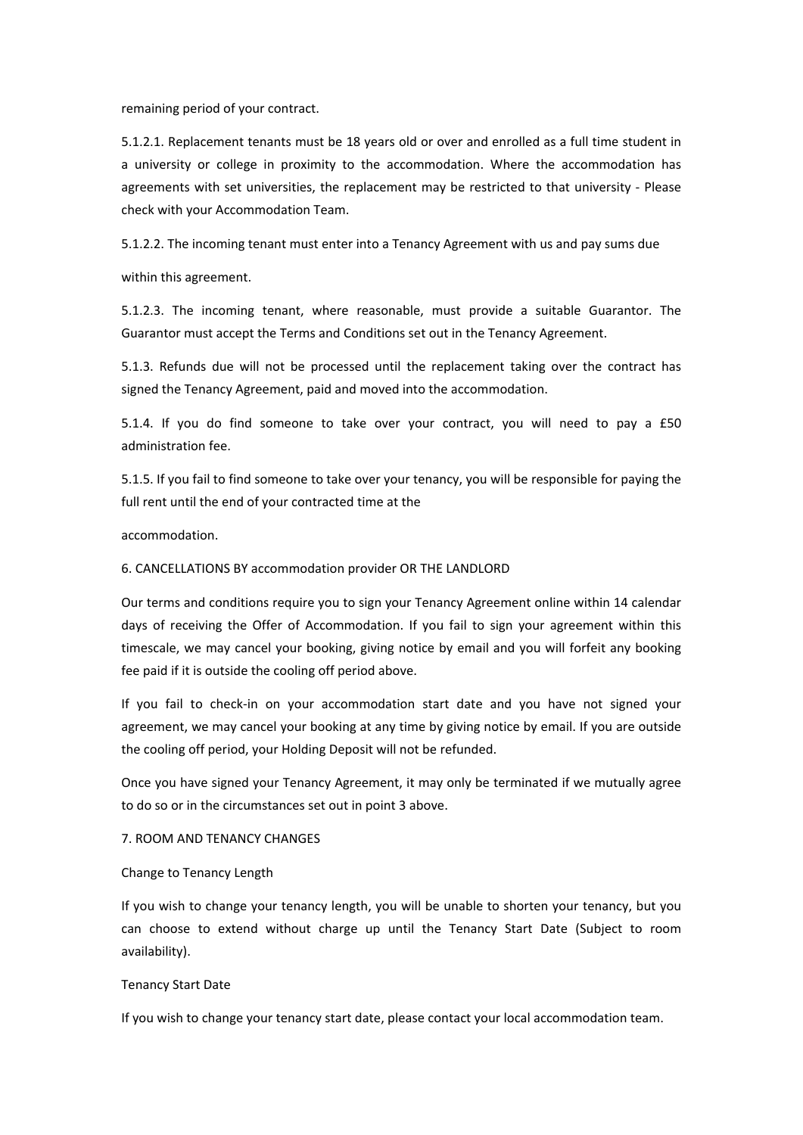remaining period of your contract.

5.1.2.1. Replacement tenants must be 18 years old or over and enrolled as a full time student in a university or college in proximity to the accommodation. Where the accommodation has agreements with set universities, the replacement may be restricted to that university - Please check with your Accommodation Team.

5.1.2.2. The incoming tenant must enter into a Tenancy Agreement with us and pay sums due

within this agreement.

5.1.2.3. The incoming tenant, where reasonable, must provide a suitable Guarantor. The Guarantor must accept the Terms and Conditions set out in the Tenancy Agreement.

5.1.3. Refunds due will not be processed until the replacement taking over the contract has signed the Tenancy Agreement, paid and moved into the accommodation.

5.1.4. If you do find someone to take over your contract, you will need to pay a £50 administration fee.

5.1.5. If you fail to find someone to take over your tenancy, you will be responsible for paying the full rent until the end of your contracted time at the

accommodation.

#### 6. CANCELLATIONS BY accommodation provider OR THE LANDLORD

Our terms and conditions require you to sign your Tenancy Agreement online within 14 calendar days of receiving the Offer of Accommodation. If you fail to sign your agreement within this timescale, we may cancel your booking, giving notice by email and you will forfeit any booking fee paid if it is outside the cooling off period above.

If you fail to check-in on your accommodation start date and you have not signed your agreement, we may cancel your booking at any time by giving notice by email. If you are outside the cooling off period, your Holding Deposit will not be refunded.

Once you have signed your Tenancy Agreement, it may only be terminated if we mutually agree to do so or in the circumstances set out in point 3 above.

#### 7. ROOM AND TENANCY CHANGES

#### Change to Tenancy Length

If you wish to change your tenancy length, you will be unable to shorten your tenancy, but you can choose to extend without charge up until the Tenancy Start Date (Subject to room availability).

#### Tenancy Start Date

If you wish to change your tenancy start date, please contact your local accommodation team.